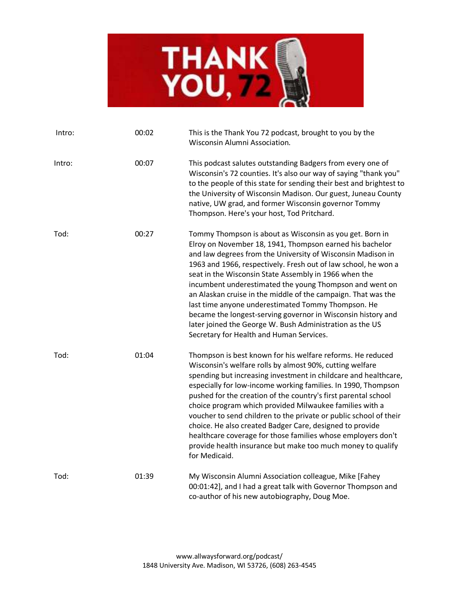

| Intro: | 00:02 | This is the Thank You 72 podcast, brought to you by the<br>Wisconsin Alumni Association.                                                                                                                                                                                                                                                                                                                                                                                                                                                                                                                                                                                 |
|--------|-------|--------------------------------------------------------------------------------------------------------------------------------------------------------------------------------------------------------------------------------------------------------------------------------------------------------------------------------------------------------------------------------------------------------------------------------------------------------------------------------------------------------------------------------------------------------------------------------------------------------------------------------------------------------------------------|
| Intro: | 00:07 | This podcast salutes outstanding Badgers from every one of<br>Wisconsin's 72 counties. It's also our way of saying "thank you"<br>to the people of this state for sending their best and brightest to<br>the University of Wisconsin Madison. Our guest, Juneau County<br>native, UW grad, and former Wisconsin governor Tommy<br>Thompson. Here's your host, Tod Pritchard.                                                                                                                                                                                                                                                                                             |
| Tod:   | 00:27 | Tommy Thompson is about as Wisconsin as you get. Born in<br>Elroy on November 18, 1941, Thompson earned his bachelor<br>and law degrees from the University of Wisconsin Madison in<br>1963 and 1966, respectively. Fresh out of law school, he won a<br>seat in the Wisconsin State Assembly in 1966 when the<br>incumbent underestimated the young Thompson and went on<br>an Alaskan cruise in the middle of the campaign. That was the<br>last time anyone underestimated Tommy Thompson. He<br>became the longest-serving governor in Wisconsin history and<br>later joined the George W. Bush Administration as the US<br>Secretary for Health and Human Services. |
| Tod:   | 01:04 | Thompson is best known for his welfare reforms. He reduced<br>Wisconsin's welfare rolls by almost 90%, cutting welfare<br>spending but increasing investment in childcare and healthcare,<br>especially for low-income working families. In 1990, Thompson<br>pushed for the creation of the country's first parental school<br>choice program which provided Milwaukee families with a<br>voucher to send children to the private or public school of their<br>choice. He also created Badger Care, designed to provide<br>healthcare coverage for those families whose employers don't<br>provide health insurance but make too much money to qualify<br>for Medicaid. |
| Tod:   | 01:39 | My Wisconsin Alumni Association colleague, Mike [Fahey<br>00:01:42], and I had a great talk with Governor Thompson and<br>co-author of his new autobiography, Doug Moe.                                                                                                                                                                                                                                                                                                                                                                                                                                                                                                  |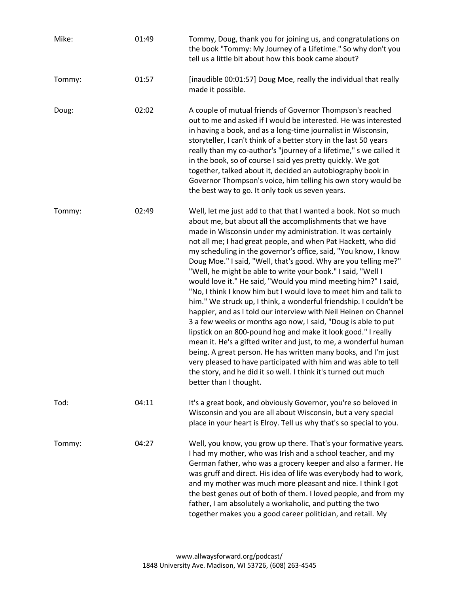| Mike:  | 01:49 | Tommy, Doug, thank you for joining us, and congratulations on<br>the book "Tommy: My Journey of a Lifetime." So why don't you<br>tell us a little bit about how this book came about?                                                                                                                                                                                                                                                                                                                                                                                                                                                                                                                                                                                                                                                                                                                                                                                                                                                                                                                                                                                                    |
|--------|-------|------------------------------------------------------------------------------------------------------------------------------------------------------------------------------------------------------------------------------------------------------------------------------------------------------------------------------------------------------------------------------------------------------------------------------------------------------------------------------------------------------------------------------------------------------------------------------------------------------------------------------------------------------------------------------------------------------------------------------------------------------------------------------------------------------------------------------------------------------------------------------------------------------------------------------------------------------------------------------------------------------------------------------------------------------------------------------------------------------------------------------------------------------------------------------------------|
| Tommy: | 01:57 | [inaudible 00:01:57] Doug Moe, really the individual that really<br>made it possible.                                                                                                                                                                                                                                                                                                                                                                                                                                                                                                                                                                                                                                                                                                                                                                                                                                                                                                                                                                                                                                                                                                    |
| Doug:  | 02:02 | A couple of mutual friends of Governor Thompson's reached<br>out to me and asked if I would be interested. He was interested<br>in having a book, and as a long-time journalist in Wisconsin,<br>storyteller, I can't think of a better story in the last 50 years<br>really than my co-author's "journey of a lifetime," s we called it<br>in the book, so of course I said yes pretty quickly. We got<br>together, talked about it, decided an autobiography book in<br>Governor Thompson's voice, him telling his own story would be<br>the best way to go. It only took us seven years.                                                                                                                                                                                                                                                                                                                                                                                                                                                                                                                                                                                              |
| Tommy: | 02:49 | Well, let me just add to that that I wanted a book. Not so much<br>about me, but about all the accomplishments that we have<br>made in Wisconsin under my administration. It was certainly<br>not all me; I had great people, and when Pat Hackett, who did<br>my scheduling in the governor's office, said, "You know, I know<br>Doug Moe." I said, "Well, that's good. Why are you telling me?"<br>"Well, he might be able to write your book." I said, "Well I<br>would love it." He said, "Would you mind meeting him?" I said,<br>"No, I think I know him but I would love to meet him and talk to<br>him." We struck up, I think, a wonderful friendship. I couldn't be<br>happier, and as I told our interview with Neil Heinen on Channel<br>3 a few weeks or months ago now, I said, "Doug is able to put<br>lipstick on an 800-pound hog and make it look good." I really<br>mean it. He's a gifted writer and just, to me, a wonderful human<br>being. A great person. He has written many books, and I'm just<br>very pleased to have participated with him and was able to tell<br>the story, and he did it so well. I think it's turned out much<br>better than I thought. |
| Tod:   | 04:11 | It's a great book, and obviously Governor, you're so beloved in<br>Wisconsin and you are all about Wisconsin, but a very special<br>place in your heart is Elroy. Tell us why that's so special to you.                                                                                                                                                                                                                                                                                                                                                                                                                                                                                                                                                                                                                                                                                                                                                                                                                                                                                                                                                                                  |
| Tommy: | 04:27 | Well, you know, you grow up there. That's your formative years.<br>I had my mother, who was Irish and a school teacher, and my<br>German father, who was a grocery keeper and also a farmer. He<br>was gruff and direct. His idea of life was everybody had to work,<br>and my mother was much more pleasant and nice. I think I got<br>the best genes out of both of them. I loved people, and from my<br>father, I am absolutely a workaholic, and putting the two<br>together makes you a good career politician, and retail. My                                                                                                                                                                                                                                                                                                                                                                                                                                                                                                                                                                                                                                                      |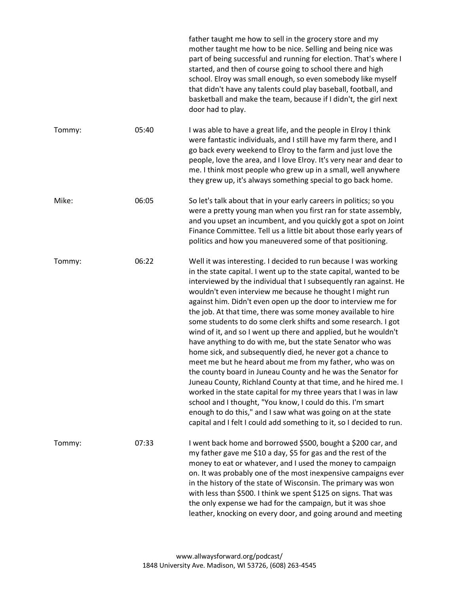|        |       | father taught me how to sell in the grocery store and my<br>mother taught me how to be nice. Selling and being nice was<br>part of being successful and running for election. That's where I<br>started, and then of course going to school there and high<br>school. Elroy was small enough, so even somebody like myself<br>that didn't have any talents could play baseball, football, and<br>basketball and make the team, because if I didn't, the girl next<br>door had to play.                                                                                                                                                                                                                                                                                                                                                                                                                                                                                                                                                                                                                                                               |
|--------|-------|------------------------------------------------------------------------------------------------------------------------------------------------------------------------------------------------------------------------------------------------------------------------------------------------------------------------------------------------------------------------------------------------------------------------------------------------------------------------------------------------------------------------------------------------------------------------------------------------------------------------------------------------------------------------------------------------------------------------------------------------------------------------------------------------------------------------------------------------------------------------------------------------------------------------------------------------------------------------------------------------------------------------------------------------------------------------------------------------------------------------------------------------------|
| Tommy: | 05:40 | I was able to have a great life, and the people in Elroy I think<br>were fantastic individuals, and I still have my farm there, and I<br>go back every weekend to Elroy to the farm and just love the<br>people, love the area, and I love Elroy. It's very near and dear to<br>me. I think most people who grew up in a small, well anywhere<br>they grew up, it's always something special to go back home.                                                                                                                                                                                                                                                                                                                                                                                                                                                                                                                                                                                                                                                                                                                                        |
| Mike:  | 06:05 | So let's talk about that in your early careers in politics; so you<br>were a pretty young man when you first ran for state assembly,<br>and you upset an incumbent, and you quickly got a spot on Joint<br>Finance Committee. Tell us a little bit about those early years of<br>politics and how you maneuvered some of that positioning.                                                                                                                                                                                                                                                                                                                                                                                                                                                                                                                                                                                                                                                                                                                                                                                                           |
| Tommy: | 06:22 | Well it was interesting. I decided to run because I was working<br>in the state capital. I went up to the state capital, wanted to be<br>interviewed by the individual that I subsequently ran against. He<br>wouldn't even interview me because he thought I might run<br>against him. Didn't even open up the door to interview me for<br>the job. At that time, there was some money available to hire<br>some students to do some clerk shifts and some research. I got<br>wind of it, and so I went up there and applied, but he wouldn't<br>have anything to do with me, but the state Senator who was<br>home sick, and subsequently died, he never got a chance to<br>meet me but he heard about me from my father, who was on<br>the county board in Juneau County and he was the Senator for<br>Juneau County, Richland County at that time, and he hired me. I<br>worked in the state capital for my three years that I was in law<br>school and I thought, "You know, I could do this. I'm smart<br>enough to do this," and I saw what was going on at the state<br>capital and I felt I could add something to it, so I decided to run. |
| Tommy: | 07:33 | I went back home and borrowed \$500, bought a \$200 car, and<br>my father gave me \$10 a day, \$5 for gas and the rest of the<br>money to eat or whatever, and I used the money to campaign<br>on. It was probably one of the most inexpensive campaigns ever<br>in the history of the state of Wisconsin. The primary was won<br>with less than \$500. I think we spent \$125 on signs. That was<br>the only expense we had for the campaign, but it was shoe<br>leather, knocking on every door, and going around and meeting                                                                                                                                                                                                                                                                                                                                                                                                                                                                                                                                                                                                                      |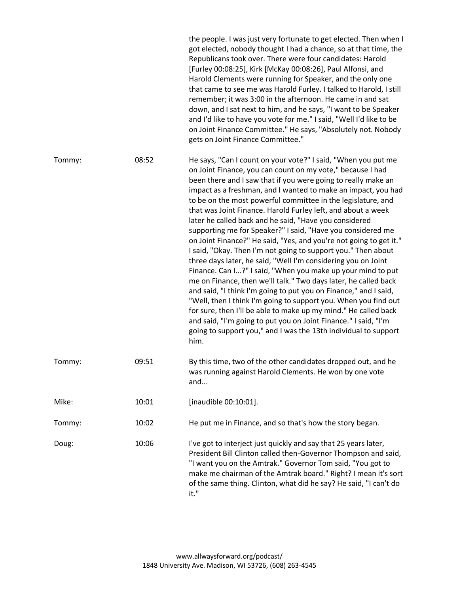|        |       | the people. I was just very fortunate to get elected. Then when I<br>got elected, nobody thought I had a chance, so at that time, the<br>Republicans took over. There were four candidates: Harold<br>[Furley 00:08:25], Kirk [McKay 00:08:26], Paul Alfonsi, and<br>Harold Clements were running for Speaker, and the only one<br>that came to see me was Harold Furley. I talked to Harold, I still<br>remember; it was 3:00 in the afternoon. He came in and sat<br>down, and I sat next to him, and he says, "I want to be Speaker<br>and I'd like to have you vote for me." I said, "Well I'd like to be<br>on Joint Finance Committee." He says, "Absolutely not. Nobody<br>gets on Joint Finance Committee."                                                                                                                                                                                                                                                                                                                                                                                                                                                                                                      |
|--------|-------|--------------------------------------------------------------------------------------------------------------------------------------------------------------------------------------------------------------------------------------------------------------------------------------------------------------------------------------------------------------------------------------------------------------------------------------------------------------------------------------------------------------------------------------------------------------------------------------------------------------------------------------------------------------------------------------------------------------------------------------------------------------------------------------------------------------------------------------------------------------------------------------------------------------------------------------------------------------------------------------------------------------------------------------------------------------------------------------------------------------------------------------------------------------------------------------------------------------------------|
| Tommy: | 08:52 | He says, "Can I count on your vote?" I said, "When you put me<br>on Joint Finance, you can count on my vote," because I had<br>been there and I saw that if you were going to really make an<br>impact as a freshman, and I wanted to make an impact, you had<br>to be on the most powerful committee in the legislature, and<br>that was Joint Finance. Harold Furley left, and about a week<br>later he called back and he said, "Have you considered<br>supporting me for Speaker?" I said, "Have you considered me<br>on Joint Finance?" He said, "Yes, and you're not going to get it."<br>I said, "Okay. Then I'm not going to support you." Then about<br>three days later, he said, "Well I'm considering you on Joint<br>Finance. Can I?" I said, "When you make up your mind to put<br>me on Finance, then we'll talk." Two days later, he called back<br>and said, "I think I'm going to put you on Finance," and I said,<br>"Well, then I think I'm going to support you. When you find out<br>for sure, then I'll be able to make up my mind." He called back<br>and said, "I'm going to put you on Joint Finance." I said, "I'm<br>going to support you," and I was the 13th individual to support<br>him. |
| Tommy: | 09:51 | By this time, two of the other candidates dropped out, and he<br>was running against Harold Clements. He won by one vote<br>and                                                                                                                                                                                                                                                                                                                                                                                                                                                                                                                                                                                                                                                                                                                                                                                                                                                                                                                                                                                                                                                                                          |
| Mike:  | 10:01 | [inaudible 00:10:01].                                                                                                                                                                                                                                                                                                                                                                                                                                                                                                                                                                                                                                                                                                                                                                                                                                                                                                                                                                                                                                                                                                                                                                                                    |
| Tommy: | 10:02 | He put me in Finance, and so that's how the story began.                                                                                                                                                                                                                                                                                                                                                                                                                                                                                                                                                                                                                                                                                                                                                                                                                                                                                                                                                                                                                                                                                                                                                                 |
| Doug:  | 10:06 | I've got to interject just quickly and say that 25 years later,<br>President Bill Clinton called then-Governor Thompson and said,<br>"I want you on the Amtrak." Governor Tom said, "You got to<br>make me chairman of the Amtrak board." Right? I mean it's sort<br>of the same thing. Clinton, what did he say? He said, "I can't do<br>it."                                                                                                                                                                                                                                                                                                                                                                                                                                                                                                                                                                                                                                                                                                                                                                                                                                                                           |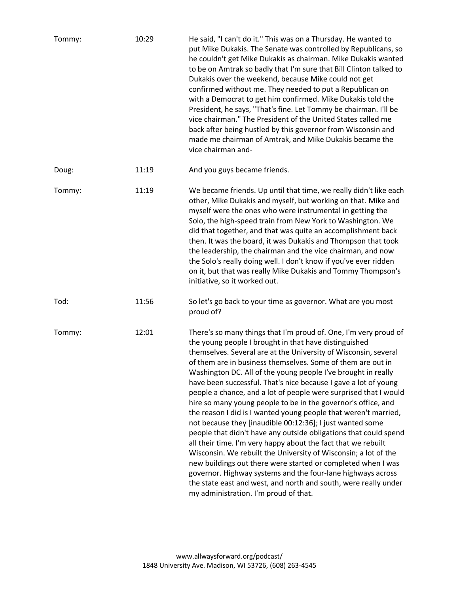| Tommy: | 10:29 | He said, "I can't do it." This was on a Thursday. He wanted to<br>put Mike Dukakis. The Senate was controlled by Republicans, so<br>he couldn't get Mike Dukakis as chairman. Mike Dukakis wanted<br>to be on Amtrak so badly that I'm sure that Bill Clinton talked to<br>Dukakis over the weekend, because Mike could not get<br>confirmed without me. They needed to put a Republican on<br>with a Democrat to get him confirmed. Mike Dukakis told the<br>President, he says, "That's fine. Let Tommy be chairman. I'll be<br>vice chairman." The President of the United States called me<br>back after being hustled by this governor from Wisconsin and<br>made me chairman of Amtrak, and Mike Dukakis became the<br>vice chairman and-                                                                                                                                                                                                                                                                                                                                                                         |
|--------|-------|-------------------------------------------------------------------------------------------------------------------------------------------------------------------------------------------------------------------------------------------------------------------------------------------------------------------------------------------------------------------------------------------------------------------------------------------------------------------------------------------------------------------------------------------------------------------------------------------------------------------------------------------------------------------------------------------------------------------------------------------------------------------------------------------------------------------------------------------------------------------------------------------------------------------------------------------------------------------------------------------------------------------------------------------------------------------------------------------------------------------------|
| Doug:  | 11:19 | And you guys became friends.                                                                                                                                                                                                                                                                                                                                                                                                                                                                                                                                                                                                                                                                                                                                                                                                                                                                                                                                                                                                                                                                                            |
| Tommy: | 11:19 | We became friends. Up until that time, we really didn't like each<br>other, Mike Dukakis and myself, but working on that. Mike and<br>myself were the ones who were instrumental in getting the<br>Solo, the high-speed train from New York to Washington. We<br>did that together, and that was quite an accomplishment back<br>then. It was the board, it was Dukakis and Thompson that took<br>the leadership, the chairman and the vice chairman, and now<br>the Solo's really doing well. I don't know if you've ever ridden<br>on it, but that was really Mike Dukakis and Tommy Thompson's<br>initiative, so it worked out.                                                                                                                                                                                                                                                                                                                                                                                                                                                                                      |
| Tod:   | 11:56 | So let's go back to your time as governor. What are you most<br>proud of?                                                                                                                                                                                                                                                                                                                                                                                                                                                                                                                                                                                                                                                                                                                                                                                                                                                                                                                                                                                                                                               |
| Tommy: | 12:01 | There's so many things that I'm proud of. One, I'm very proud of<br>the young people I brought in that have distinguished<br>themselves. Several are at the University of Wisconsin, several<br>of them are in business themselves. Some of them are out in<br>Washington DC. All of the young people I've brought in really<br>have been successful. That's nice because I gave a lot of young<br>people a chance, and a lot of people were surprised that I would<br>hire so many young people to be in the governor's office, and<br>the reason I did is I wanted young people that weren't married,<br>not because they [inaudible 00:12:36]; I just wanted some<br>people that didn't have any outside obligations that could spend<br>all their time. I'm very happy about the fact that we rebuilt<br>Wisconsin. We rebuilt the University of Wisconsin; a lot of the<br>new buildings out there were started or completed when I was<br>governor. Highway systems and the four-lane highways across<br>the state east and west, and north and south, were really under<br>my administration. I'm proud of that. |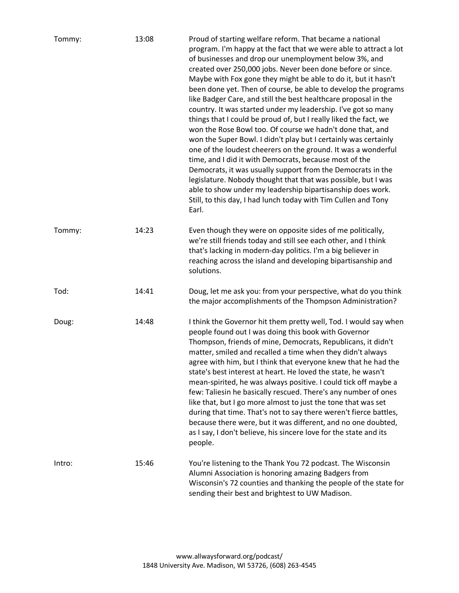| Tommy: | 13:08 | Proud of starting welfare reform. That became a national<br>program. I'm happy at the fact that we were able to attract a lot<br>of businesses and drop our unemployment below 3%, and<br>created over 250,000 jobs. Never been done before or since.<br>Maybe with Fox gone they might be able to do it, but it hasn't<br>been done yet. Then of course, be able to develop the programs<br>like Badger Care, and still the best healthcare proposal in the<br>country. It was started under my leadership. I've got so many<br>things that I could be proud of, but I really liked the fact, we<br>won the Rose Bowl too. Of course we hadn't done that, and<br>won the Super Bowl. I didn't play but I certainly was certainly<br>one of the loudest cheerers on the ground. It was a wonderful<br>time, and I did it with Democrats, because most of the<br>Democrats, it was usually support from the Democrats in the<br>legislature. Nobody thought that that was possible, but I was<br>able to show under my leadership bipartisanship does work.<br>Still, to this day, I had lunch today with Tim Cullen and Tony<br>Earl. |
|--------|-------|---------------------------------------------------------------------------------------------------------------------------------------------------------------------------------------------------------------------------------------------------------------------------------------------------------------------------------------------------------------------------------------------------------------------------------------------------------------------------------------------------------------------------------------------------------------------------------------------------------------------------------------------------------------------------------------------------------------------------------------------------------------------------------------------------------------------------------------------------------------------------------------------------------------------------------------------------------------------------------------------------------------------------------------------------------------------------------------------------------------------------------------|
| Tommy: | 14:23 | Even though they were on opposite sides of me politically,<br>we're still friends today and still see each other, and I think<br>that's lacking in modern-day politics. I'm a big believer in<br>reaching across the island and developing bipartisanship and<br>solutions.                                                                                                                                                                                                                                                                                                                                                                                                                                                                                                                                                                                                                                                                                                                                                                                                                                                           |
| Tod:   | 14:41 | Doug, let me ask you: from your perspective, what do you think<br>the major accomplishments of the Thompson Administration?                                                                                                                                                                                                                                                                                                                                                                                                                                                                                                                                                                                                                                                                                                                                                                                                                                                                                                                                                                                                           |
| Doug:  | 14:48 | I think the Governor hit them pretty well, Tod. I would say when<br>people found out I was doing this book with Governor<br>Thompson, friends of mine, Democrats, Republicans, it didn't<br>matter, smiled and recalled a time when they didn't always<br>agree with him, but I think that everyone knew that he had the<br>state's best interest at heart. He loved the state, he wasn't<br>mean-spirited, he was always positive. I could tick off maybe a<br>few: Taliesin he basically rescued. There's any number of ones<br>like that, but I go more almost to just the tone that was set<br>during that time. That's not to say there weren't fierce battles,<br>because there were, but it was different, and no one doubted,<br>as I say, I don't believe, his sincere love for the state and its<br>people.                                                                                                                                                                                                                                                                                                                 |
| Intro: | 15:46 | You're listening to the Thank You 72 podcast. The Wisconsin<br>Alumni Association is honoring amazing Badgers from<br>Wisconsin's 72 counties and thanking the people of the state for<br>sending their best and brightest to UW Madison.                                                                                                                                                                                                                                                                                                                                                                                                                                                                                                                                                                                                                                                                                                                                                                                                                                                                                             |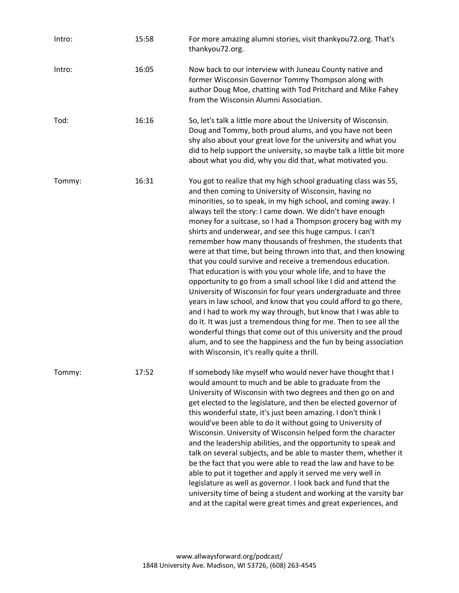| Intro: | 15:58 | For more amazing alumni stories, visit thankyou72.org. That's<br>thankyou72.org.                                                                                                                                                                                                                                                                                                                                                                                                                                                                                                                                                                                                                                                                                                                                                                                                                                                                                                                                                                                                                                                                                                      |
|--------|-------|---------------------------------------------------------------------------------------------------------------------------------------------------------------------------------------------------------------------------------------------------------------------------------------------------------------------------------------------------------------------------------------------------------------------------------------------------------------------------------------------------------------------------------------------------------------------------------------------------------------------------------------------------------------------------------------------------------------------------------------------------------------------------------------------------------------------------------------------------------------------------------------------------------------------------------------------------------------------------------------------------------------------------------------------------------------------------------------------------------------------------------------------------------------------------------------|
| Intro: | 16:05 | Now back to our interview with Juneau County native and<br>former Wisconsin Governor Tommy Thompson along with<br>author Doug Moe, chatting with Tod Pritchard and Mike Fahey<br>from the Wisconsin Alumni Association.                                                                                                                                                                                                                                                                                                                                                                                                                                                                                                                                                                                                                                                                                                                                                                                                                                                                                                                                                               |
| Tod:   | 16:16 | So, let's talk a little more about the University of Wisconsin.<br>Doug and Tommy, both proud alums, and you have not been<br>shy also about your great love for the university and what you<br>did to help support the university, so maybe talk a little bit more<br>about what you did, why you did that, what motivated you.                                                                                                                                                                                                                                                                                                                                                                                                                                                                                                                                                                                                                                                                                                                                                                                                                                                      |
| Tommy: | 16:31 | You got to realize that my high school graduating class was 55,<br>and then coming to University of Wisconsin, having no<br>minorities, so to speak, in my high school, and coming away. I<br>always tell the story: I came down. We didn't have enough<br>money for a suitcase, so I had a Thompson grocery bag with my<br>shirts and underwear, and see this huge campus. I can't<br>remember how many thousands of freshmen, the students that<br>were at that time, but being thrown into that, and then knowing<br>that you could survive and receive a tremendous education.<br>That education is with you your whole life, and to have the<br>opportunity to go from a small school like I did and attend the<br>University of Wisconsin for four years undergraduate and three<br>years in law school, and know that you could afford to go there,<br>and I had to work my way through, but know that I was able to<br>do it. It was just a tremendous thing for me. Then to see all the<br>wonderful things that come out of this university and the proud<br>alum, and to see the happiness and the fun by being association<br>with Wisconsin, it's really quite a thrill. |
| Tommy: | 17:52 | If somebody like myself who would never have thought that I<br>would amount to much and be able to graduate from the<br>University of Wisconsin with two degrees and then go on and<br>get elected to the legislature, and then be elected governor of<br>this wonderful state, it's just been amazing. I don't think I<br>would've been able to do it without going to University of<br>Wisconsin. University of Wisconsin helped form the character<br>and the leadership abilities, and the opportunity to speak and<br>talk on several subjects, and be able to master them, whether it<br>be the fact that you were able to read the law and have to be<br>able to put it together and apply it served me very well in<br>legislature as well as governor. I look back and fund that the<br>university time of being a student and working at the varsity bar<br>and at the capital were great times and great experiences, and                                                                                                                                                                                                                                                  |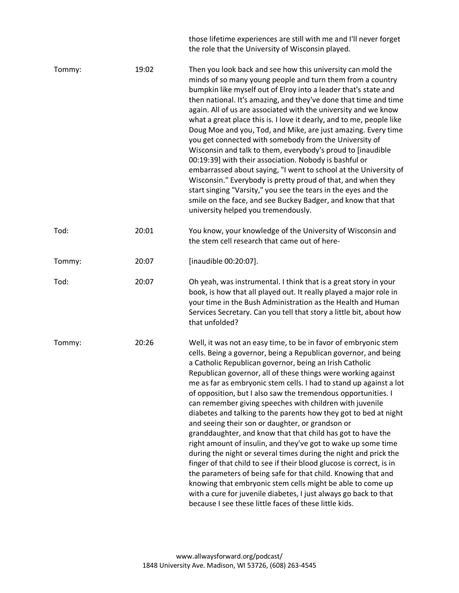those lifetime experiences are still with me and I'll never forget the role that the University of Wisconsin played.

| Tommy: | 19:02 | Then you look back and see how this university can mold the<br>minds of so many young people and turn them from a country<br>bumpkin like myself out of Elroy into a leader that's state and<br>then national. It's amazing, and they've done that time and time<br>again. All of us are associated with the university and we know<br>what a great place this is. I love it dearly, and to me, people like<br>Doug Moe and you, Tod, and Mike, are just amazing. Every time<br>you get connected with somebody from the University of<br>Wisconsin and talk to them, everybody's proud to [inaudible<br>00:19:39] with their association. Nobody is bashful or<br>embarrassed about saying, "I went to school at the University of<br>Wisconsin." Everybody is pretty proud of that, and when they<br>start singing "Varsity," you see the tears in the eyes and the<br>smile on the face, and see Buckey Badger, and know that that<br>university helped you tremendously.                                                                                                                                                       |
|--------|-------|------------------------------------------------------------------------------------------------------------------------------------------------------------------------------------------------------------------------------------------------------------------------------------------------------------------------------------------------------------------------------------------------------------------------------------------------------------------------------------------------------------------------------------------------------------------------------------------------------------------------------------------------------------------------------------------------------------------------------------------------------------------------------------------------------------------------------------------------------------------------------------------------------------------------------------------------------------------------------------------------------------------------------------------------------------------------------------------------------------------------------------|
| Tod:   | 20:01 | You know, your knowledge of the University of Wisconsin and<br>the stem cell research that came out of here-                                                                                                                                                                                                                                                                                                                                                                                                                                                                                                                                                                                                                                                                                                                                                                                                                                                                                                                                                                                                                       |
| Tommy: | 20:07 | [inaudible 00:20:07].                                                                                                                                                                                                                                                                                                                                                                                                                                                                                                                                                                                                                                                                                                                                                                                                                                                                                                                                                                                                                                                                                                              |
| Tod:   | 20:07 | Oh yeah, was instrumental. I think that is a great story in your<br>book, is how that all played out. It really played a major role in<br>your time in the Bush Administration as the Health and Human<br>Services Secretary. Can you tell that story a little bit, about how<br>that unfolded?                                                                                                                                                                                                                                                                                                                                                                                                                                                                                                                                                                                                                                                                                                                                                                                                                                    |
| Tommy: | 20:26 | Well, it was not an easy time, to be in favor of embryonic stem<br>cells. Being a governor, being a Republican governor, and being<br>a Catholic Republican governor, being an Irish Catholic<br>Republican governor, all of these things were working against<br>me as far as embryonic stem cells. I had to stand up against a lot<br>of opposition, but I also saw the tremendous opportunities. I<br>can remember giving speeches with children with juvenile<br>diabetes and talking to the parents how they got to bed at night<br>and seeing their son or daughter, or grandson or<br>granddaughter, and know that that child has got to have the<br>right amount of insulin, and they've got to wake up some time<br>during the night or several times during the night and prick the<br>finger of that child to see if their blood glucose is correct, is in<br>the parameters of being safe for that child. Knowing that and<br>knowing that embryonic stem cells might be able to come up<br>with a cure for juvenile diabetes, I just always go back to that<br>because I see these little faces of these little kids. |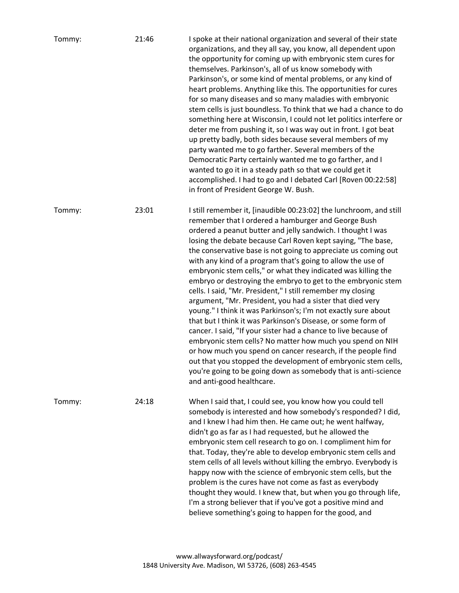| Tommy: | 21:46 | I spoke at their national organization and several of their state<br>organizations, and they all say, you know, all dependent upon<br>the opportunity for coming up with embryonic stem cures for<br>themselves. Parkinson's, all of us know somebody with<br>Parkinson's, or some kind of mental problems, or any kind of<br>heart problems. Anything like this. The opportunities for cures<br>for so many diseases and so many maladies with embryonic<br>stem cells is just boundless. To think that we had a chance to do<br>something here at Wisconsin, I could not let politics interfere or<br>deter me from pushing it, so I was way out in front. I got beat<br>up pretty badly, both sides because several members of my<br>party wanted me to go farther. Several members of the<br>Democratic Party certainly wanted me to go farther, and I<br>wanted to go it in a steady path so that we could get it<br>accomplished. I had to go and I debated Carl [Roven 00:22:58]<br>in front of President George W. Bush.                                                                                                                         |
|--------|-------|----------------------------------------------------------------------------------------------------------------------------------------------------------------------------------------------------------------------------------------------------------------------------------------------------------------------------------------------------------------------------------------------------------------------------------------------------------------------------------------------------------------------------------------------------------------------------------------------------------------------------------------------------------------------------------------------------------------------------------------------------------------------------------------------------------------------------------------------------------------------------------------------------------------------------------------------------------------------------------------------------------------------------------------------------------------------------------------------------------------------------------------------------------|
| Tommy: | 23:01 | I still remember it, [inaudible 00:23:02] the lunchroom, and still<br>remember that I ordered a hamburger and George Bush<br>ordered a peanut butter and jelly sandwich. I thought I was<br>losing the debate because Carl Roven kept saying, "The base,<br>the conservative base is not going to appreciate us coming out<br>with any kind of a program that's going to allow the use of<br>embryonic stem cells," or what they indicated was killing the<br>embryo or destroying the embryo to get to the embryonic stem<br>cells. I said, "Mr. President," I still remember my closing<br>argument, "Mr. President, you had a sister that died very<br>young." I think it was Parkinson's; I'm not exactly sure about<br>that but I think it was Parkinson's Disease, or some form of<br>cancer. I said, "If your sister had a chance to live because of<br>embryonic stem cells? No matter how much you spend on NIH<br>or how much you spend on cancer research, if the people find<br>out that you stopped the development of embryonic stem cells,<br>you're going to be going down as somebody that is anti-science<br>and anti-good healthcare. |
| Tommy: | 24:18 | When I said that, I could see, you know how you could tell<br>somebody is interested and how somebody's responded? I did,<br>and I knew I had him then. He came out; he went halfway,<br>didn't go as far as I had requested, but he allowed the<br>embryonic stem cell research to go on. I compliment him for<br>that. Today, they're able to develop embryonic stem cells and<br>stem cells of all levels without killing the embryo. Everybody is<br>happy now with the science of embryonic stem cells, but the<br>problem is the cures have not come as fast as everybody<br>thought they would. I knew that, but when you go through life,<br>I'm a strong believer that if you've got a positive mind and<br>believe something's going to happen for the good, and                                                                                                                                                                                                                                                                                                                                                                               |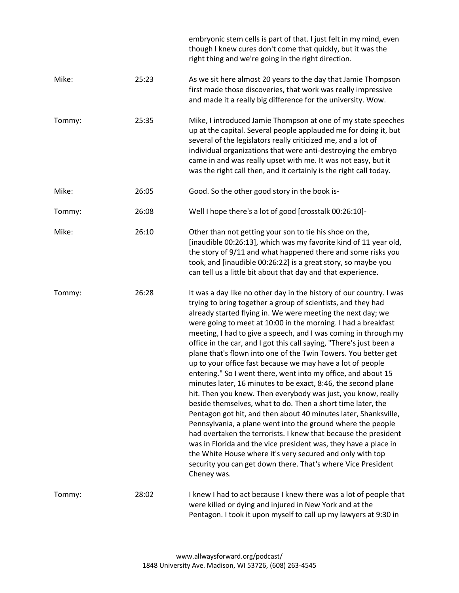|        |       | embryonic stem cells is part of that. I just felt in my mind, even<br>though I knew cures don't come that quickly, but it was the<br>right thing and we're going in the right direction.                                                                                                                                                                                                                                                                                                                                                                                                                                                                                                                                                                                                                                                                                                                                                                                                                                                                                                                                                                                                                                            |
|--------|-------|-------------------------------------------------------------------------------------------------------------------------------------------------------------------------------------------------------------------------------------------------------------------------------------------------------------------------------------------------------------------------------------------------------------------------------------------------------------------------------------------------------------------------------------------------------------------------------------------------------------------------------------------------------------------------------------------------------------------------------------------------------------------------------------------------------------------------------------------------------------------------------------------------------------------------------------------------------------------------------------------------------------------------------------------------------------------------------------------------------------------------------------------------------------------------------------------------------------------------------------|
| Mike:  | 25:23 | As we sit here almost 20 years to the day that Jamie Thompson<br>first made those discoveries, that work was really impressive<br>and made it a really big difference for the university. Wow.                                                                                                                                                                                                                                                                                                                                                                                                                                                                                                                                                                                                                                                                                                                                                                                                                                                                                                                                                                                                                                      |
| Tommy: | 25:35 | Mike, I introduced Jamie Thompson at one of my state speeches<br>up at the capital. Several people applauded me for doing it, but<br>several of the legislators really criticized me, and a lot of<br>individual organizations that were anti-destroying the embryo<br>came in and was really upset with me. It was not easy, but it<br>was the right call then, and it certainly is the right call today.                                                                                                                                                                                                                                                                                                                                                                                                                                                                                                                                                                                                                                                                                                                                                                                                                          |
| Mike:  | 26:05 | Good. So the other good story in the book is-                                                                                                                                                                                                                                                                                                                                                                                                                                                                                                                                                                                                                                                                                                                                                                                                                                                                                                                                                                                                                                                                                                                                                                                       |
| Tommy: | 26:08 | Well I hope there's a lot of good [crosstalk 00:26:10]-                                                                                                                                                                                                                                                                                                                                                                                                                                                                                                                                                                                                                                                                                                                                                                                                                                                                                                                                                                                                                                                                                                                                                                             |
| Mike:  | 26:10 | Other than not getting your son to tie his shoe on the,<br>[inaudible 00:26:13], which was my favorite kind of 11 year old,<br>the story of 9/11 and what happened there and some risks you<br>took, and [inaudible 00:26:22] is a great story, so maybe you<br>can tell us a little bit about that day and that experience.                                                                                                                                                                                                                                                                                                                                                                                                                                                                                                                                                                                                                                                                                                                                                                                                                                                                                                        |
| Tommy: | 26:28 | It was a day like no other day in the history of our country. I was<br>trying to bring together a group of scientists, and they had<br>already started flying in. We were meeting the next day; we<br>were going to meet at 10:00 in the morning. I had a breakfast<br>meeting, I had to give a speech, and I was coming in through my<br>office in the car, and I got this call saying, "There's just been a<br>plane that's flown into one of the Twin Towers. You better get<br>up to your office fast because we may have a lot of people<br>entering." So I went there, went into my office, and about 15<br>minutes later, 16 minutes to be exact, 8:46, the second plane<br>hit. Then you knew. Then everybody was just, you know, really<br>beside themselves, what to do. Then a short time later, the<br>Pentagon got hit, and then about 40 minutes later, Shanksville,<br>Pennsylvania, a plane went into the ground where the people<br>had overtaken the terrorists. I knew that because the president<br>was in Florida and the vice president was, they have a place in<br>the White House where it's very secured and only with top<br>security you can get down there. That's where Vice President<br>Cheney was. |
| Tommy: | 28:02 | I knew I had to act because I knew there was a lot of people that<br>were killed or dying and injured in New York and at the<br>Pentagon. I took it upon myself to call up my lawyers at 9:30 in                                                                                                                                                                                                                                                                                                                                                                                                                                                                                                                                                                                                                                                                                                                                                                                                                                                                                                                                                                                                                                    |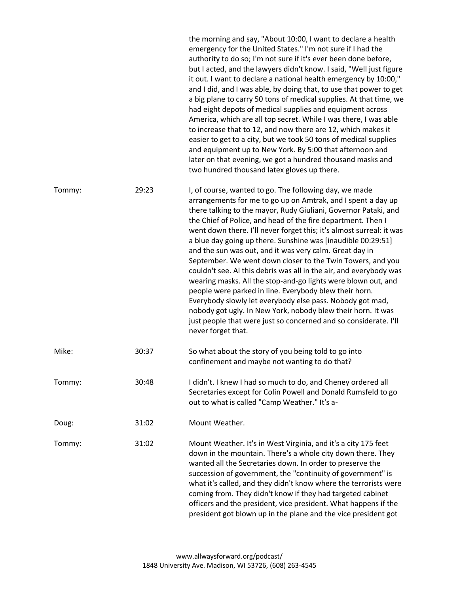|        |       | the morning and say, "About 10:00, I want to declare a health<br>emergency for the United States." I'm not sure if I had the<br>authority to do so; I'm not sure if it's ever been done before,<br>but I acted, and the lawyers didn't know. I said, "Well just figure<br>it out. I want to declare a national health emergency by 10:00,"<br>and I did, and I was able, by doing that, to use that power to get<br>a big plane to carry 50 tons of medical supplies. At that time, we<br>had eight depots of medical supplies and equipment across<br>America, which are all top secret. While I was there, I was able<br>to increase that to 12, and now there are 12, which makes it<br>easier to get to a city, but we took 50 tons of medical supplies<br>and equipment up to New York. By 5:00 that afternoon and<br>later on that evening, we got a hundred thousand masks and<br>two hundred thousand latex gloves up there.               |
|--------|-------|----------------------------------------------------------------------------------------------------------------------------------------------------------------------------------------------------------------------------------------------------------------------------------------------------------------------------------------------------------------------------------------------------------------------------------------------------------------------------------------------------------------------------------------------------------------------------------------------------------------------------------------------------------------------------------------------------------------------------------------------------------------------------------------------------------------------------------------------------------------------------------------------------------------------------------------------------|
| Tommy: | 29:23 | I, of course, wanted to go. The following day, we made<br>arrangements for me to go up on Amtrak, and I spent a day up<br>there talking to the mayor, Rudy Giuliani, Governor Pataki, and<br>the Chief of Police, and head of the fire department. Then I<br>went down there. I'll never forget this; it's almost surreal: it was<br>a blue day going up there. Sunshine was [inaudible 00:29:51]<br>and the sun was out, and it was very calm. Great day in<br>September. We went down closer to the Twin Towers, and you<br>couldn't see. Al this debris was all in the air, and everybody was<br>wearing masks. All the stop-and-go lights were blown out, and<br>people were parked in line. Everybody blew their horn.<br>Everybody slowly let everybody else pass. Nobody got mad,<br>nobody got ugly. In New York, nobody blew their horn. It was<br>just people that were just so concerned and so considerate. I'll<br>never forget that. |
| Mike:  | 30:37 | So what about the story of you being told to go into<br>confinement and maybe not wanting to do that?                                                                                                                                                                                                                                                                                                                                                                                                                                                                                                                                                                                                                                                                                                                                                                                                                                              |
| Tommy: | 30:48 | I didn't. I knew I had so much to do, and Cheney ordered all<br>Secretaries except for Colin Powell and Donald Rumsfeld to go<br>out to what is called "Camp Weather." It's a-                                                                                                                                                                                                                                                                                                                                                                                                                                                                                                                                                                                                                                                                                                                                                                     |
| Doug:  | 31:02 | Mount Weather.                                                                                                                                                                                                                                                                                                                                                                                                                                                                                                                                                                                                                                                                                                                                                                                                                                                                                                                                     |
| Tommy: | 31:02 | Mount Weather. It's in West Virginia, and it's a city 175 feet<br>down in the mountain. There's a whole city down there. They<br>wanted all the Secretaries down. In order to preserve the<br>succession of government, the "continuity of government" is<br>what it's called, and they didn't know where the terrorists were<br>coming from. They didn't know if they had targeted cabinet<br>officers and the president, vice president. What happens if the<br>president got blown up in the plane and the vice president got                                                                                                                                                                                                                                                                                                                                                                                                                   |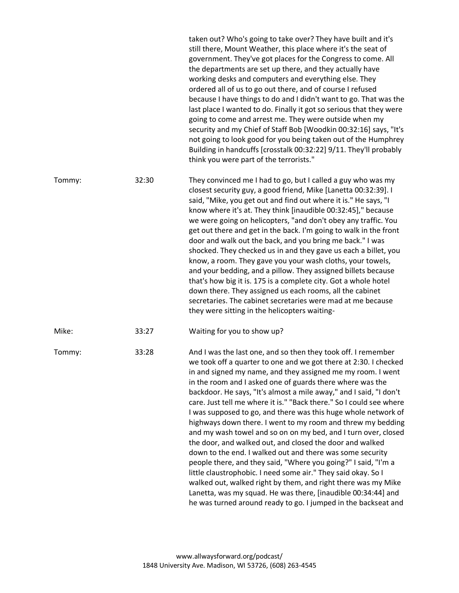|        |       | taken out? Who's going to take over? They have built and it's<br>still there, Mount Weather, this place where it's the seat of<br>government. They've got places for the Congress to come. All<br>the departments are set up there, and they actually have<br>working desks and computers and everything else. They<br>ordered all of us to go out there, and of course I refused<br>because I have things to do and I didn't want to go. That was the<br>last place I wanted to do. Finally it got so serious that they were<br>going to come and arrest me. They were outside when my<br>security and my Chief of Staff Bob [Woodkin 00:32:16] says, "It's<br>not going to look good for you being taken out of the Humphrey<br>Building in handcuffs [crosstalk 00:32:22] 9/11. They'll probably<br>think you were part of the terrorists."                                                                                                                                                                                                                                |
|--------|-------|-------------------------------------------------------------------------------------------------------------------------------------------------------------------------------------------------------------------------------------------------------------------------------------------------------------------------------------------------------------------------------------------------------------------------------------------------------------------------------------------------------------------------------------------------------------------------------------------------------------------------------------------------------------------------------------------------------------------------------------------------------------------------------------------------------------------------------------------------------------------------------------------------------------------------------------------------------------------------------------------------------------------------------------------------------------------------------|
| Tommy: | 32:30 | They convinced me I had to go, but I called a guy who was my<br>closest security guy, a good friend, Mike [Lanetta 00:32:39]. I<br>said, "Mike, you get out and find out where it is." He says, "I<br>know where it's at. They think [inaudible 00:32:45]," because<br>we were going on helicopters, "and don't obey any traffic. You<br>get out there and get in the back. I'm going to walk in the front<br>door and walk out the back, and you bring me back." I was<br>shocked. They checked us in and they gave us each a billet, you<br>know, a room. They gave you your wash cloths, your towels,<br>and your bedding, and a pillow. They assigned billets because<br>that's how big it is. 175 is a complete city. Got a whole hotel<br>down there. They assigned us each rooms, all the cabinet<br>secretaries. The cabinet secretaries were mad at me because<br>they were sitting in the helicopters waiting-                                                                                                                                                      |
| Mike:  | 33:27 | Waiting for you to show up?                                                                                                                                                                                                                                                                                                                                                                                                                                                                                                                                                                                                                                                                                                                                                                                                                                                                                                                                                                                                                                                   |
| Tommy: | 33:28 | And I was the last one, and so then they took off. I remember<br>we took off a quarter to one and we got there at 2:30. I checked<br>in and signed my name, and they assigned me my room. I went<br>in the room and I asked one of guards there where was the<br>backdoor. He says, "It's almost a mile away," and I said, "I don't<br>care. Just tell me where it is." "Back there." So I could see where<br>I was supposed to go, and there was this huge whole network of<br>highways down there. I went to my room and threw my bedding<br>and my wash towel and so on on my bed, and I turn over, closed<br>the door, and walked out, and closed the door and walked<br>down to the end. I walked out and there was some security<br>people there, and they said, "Where you going?" I said, "I'm a<br>little claustrophobic. I need some air." They said okay. So I<br>walked out, walked right by them, and right there was my Mike<br>Lanetta, was my squad. He was there, [inaudible 00:34:44] and<br>he was turned around ready to go. I jumped in the backseat and |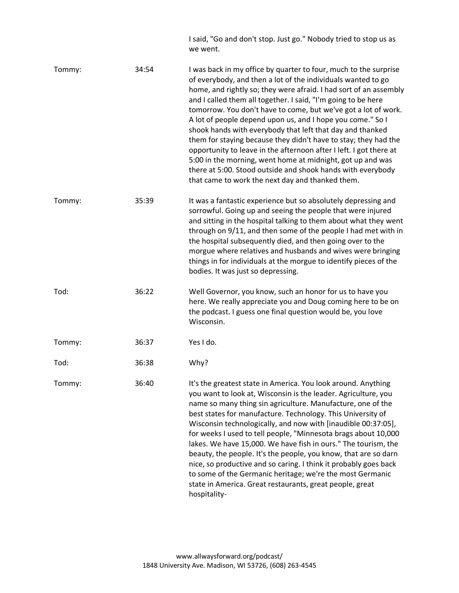I said, "Go and don't stop. Just go." Nobody tried to stop us as we went.

| Tommy: | 34:54 | I was back in my office by quarter to four, much to the surprise<br>of everybody, and then a lot of the individuals wanted to go<br>home, and rightly so; they were afraid. I had sort of an assembly<br>and I called them all together. I said, "I'm going to be here<br>tomorrow. You don't have to come, but we've got a lot of work.<br>A lot of people depend upon us, and I hope you come." So I<br>shook hands with everybody that left that day and thanked<br>them for staying because they didn't have to stay; they had the<br>opportunity to leave in the afternoon after I left. I got there at<br>5:00 in the morning, went home at midnight, got up and was<br>there at 5:00. Stood outside and shook hands with everybody<br>that came to work the next day and thanked them. |
|--------|-------|-----------------------------------------------------------------------------------------------------------------------------------------------------------------------------------------------------------------------------------------------------------------------------------------------------------------------------------------------------------------------------------------------------------------------------------------------------------------------------------------------------------------------------------------------------------------------------------------------------------------------------------------------------------------------------------------------------------------------------------------------------------------------------------------------|
| Tommy: | 35:39 | It was a fantastic experience but so absolutely depressing and<br>sorrowful. Going up and seeing the people that were injured<br>and sitting in the hospital talking to them about what they went<br>through on 9/11, and then some of the people I had met with in<br>the hospital subsequently died, and then going over to the<br>morgue where relatives and husbands and wives were bringing<br>things in for individuals at the morgue to identify pieces of the<br>bodies. It was just so depressing.                                                                                                                                                                                                                                                                                   |
| Tod:   | 36:22 | Well Governor, you know, such an honor for us to have you<br>here. We really appreciate you and Doug coming here to be on<br>the podcast. I guess one final question would be, you love<br>Wisconsin.                                                                                                                                                                                                                                                                                                                                                                                                                                                                                                                                                                                         |
| Tommy: | 36:37 | Yes I do.                                                                                                                                                                                                                                                                                                                                                                                                                                                                                                                                                                                                                                                                                                                                                                                     |
| Tod:   | 36:38 | Why?                                                                                                                                                                                                                                                                                                                                                                                                                                                                                                                                                                                                                                                                                                                                                                                          |
| Tommy: | 36:40 | It's the greatest state in America. You look around. Anything<br>you want to look at, Wisconsin is the leader. Agriculture, you<br>name so many thing sin agriculture. Manufacture, one of the<br>best states for manufacture. Technology. This University of<br>Wisconsin technologically, and now with [inaudible 00:37:05],<br>for weeks I used to tell people, "Minnesota brags about 10,000<br>lakes. We have 15,000. We have fish in ours." The tourism, the<br>beauty, the people. It's the people, you know, that are so darn<br>nice, so productive and so caring. I think it probably goes back<br>to some of the Germanic heritage; we're the most Germanic                                                                                                                        |

hospitality-

state in America. Great restaurants, great people, great